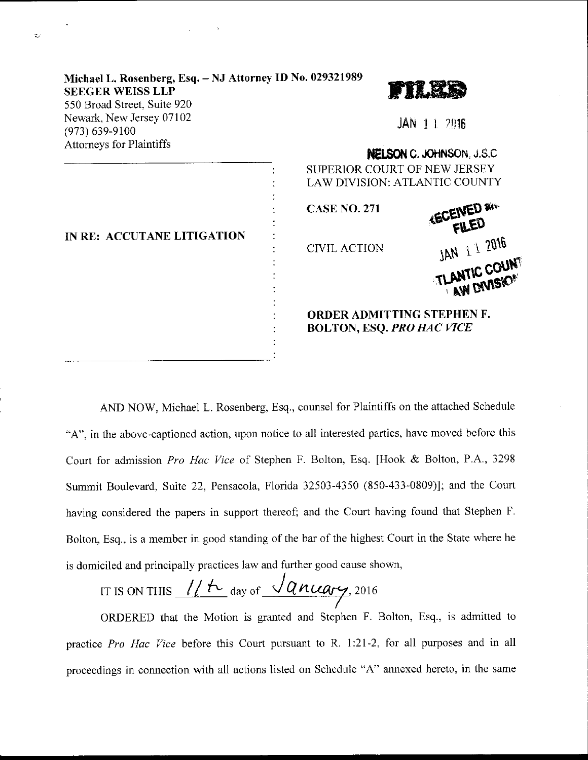| Michael L. Rosenberg, Esq. - NJ Attorney ID No. 029321989<br><b>SEEGER WEISS LLP</b><br>550 Broad Street, Suite 920 |                                                                       |  |
|---------------------------------------------------------------------------------------------------------------------|-----------------------------------------------------------------------|--|
| Newark, New Jersey 07102<br>$(973) 639 - 9100$                                                                      | $JAN$ 1 1 2016                                                        |  |
| <b>Attorneys for Plaintiffs</b>                                                                                     | NELSON C. JOHNSON, J.S.C.                                             |  |
| IN RE: ACCUTANE LITIGATION                                                                                          | SUPERIOR COURT OF NEW JERSEY<br>LAW DIVISION: ATLANTIC COUNTY         |  |
|                                                                                                                     | <b>KECEIVED 8KK</b><br><b>CASE NO. 271</b>                            |  |
|                                                                                                                     | <b>CIVIL ACTION</b>                                                   |  |
|                                                                                                                     | JAN 1 1 2016                                                          |  |
|                                                                                                                     | <b>ORDER ADMITTING STEPHEN F.</b><br><b>BOLTON, ESQ. PRO HAC VICE</b> |  |

 $\sim$ 

AND NOW, Michael L. Rosenberg. Esq., counsel for Plaintiffs on the attached Schedule "A", in the above-captioned action. upon notice to all interested parties, have moved before this Court for admission Pro Hac Vice of Stephen F. Bolton, Esq. [Hook & Bolton, P.A., 3298 Summit Boulevard, Suite 22, Pensacola, Florida 32503-4350 (850-433-0809)l; and the Court having considered the papers in support thereof; and the Court having found that Stephen F. Bolton, Esq., is a member in good standing of the bar of the highest Court in the State where he is domiciled and principally practices law and further good cause shown,

IT IS ON THIS  $\frac{1}{t}$  for any of  $\sqrt{q}$  nuary, 2016

ORDERED that the Motion is granted and Stephen F. Bolton, Esq., is admitted to practice Pro Hac Vice before this Court pursuant to R. 1:21-2, for all purposes and in all proceedings in connection with all actions listed on Schedule "A" annexed hereto, in the same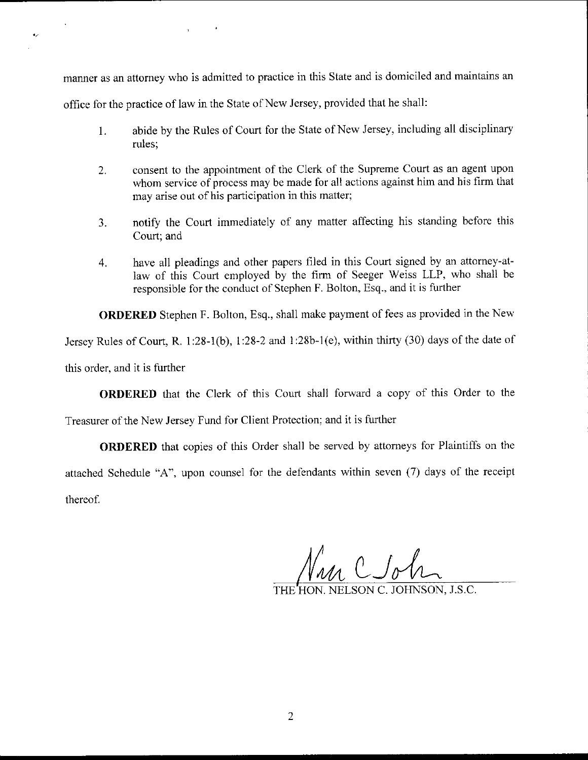mamer as an attorney who is admitted to practice in this State and is domiciled and maintains an

office for the practice of law in the State of New Jersey, provided that he shall:

- 1. abide by the Rules of Court for the State of New Jersey, including all disciplinary rules;
- consent to the appointment of the Clerk of the Supreme Court as an agent upon  $2.$ whom service of process may be made for all actions against him and his firm that may arise out of his participation in this matter;
- notify the Court immediately of any matter affecting his standing before this 3. Court; and
- have all pleadings and other papers filed in this Court signed by an attorney-at-4. law of this Court employed by the firm of Seeger Weiss LLP, who shall be responsible for the conduct of Stephen F. Bolton, Esq., and it is further

ORDERED Stephen F. Bolton, Esq., shall make payment of fees as provided in the New

Jersey Rules of Court, R. 1:28-1(b), l:28-2 and 1:28b-1(e), within thirty (30) days of the date of

this order, and it is further

 $\bullet$ 

ORDERED that the Clerk of this Court shall forward a copy of this Order to the

Treasurer of the New Jersey Fund for Client Protection; and it is further

ORDERED that copies of this Order shall be served by attorneys for Plaintiffs on the attached Schedule "A", upon counsel for the defendants within seven (7) days of the receipt thereof.

 $\theta$   $\theta$ 

NELSON C. JOHNSON, J.S.C.